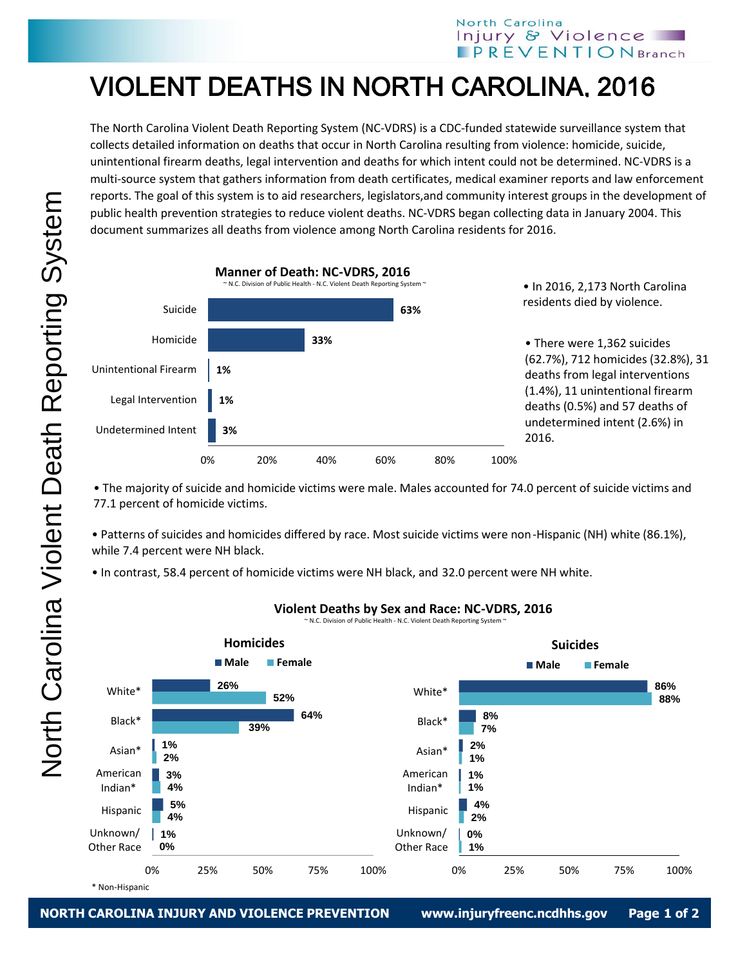## North Carolina Injury & Violence  $\blacksquare$  PREVENTION Branch

## VIOLENT DEATHS IN NORTH CAROLINA, 2016

The North Carolina Violent Death Reporting System (NC-VDRS) is a CDC-funded statewide surveillance system that collects detailed information on deaths that occur in North Carolina resulting from violence: homicide, suicide, unintentional firearm deaths, legal intervention and deaths for which intent could not be determined. NC-VDRS is a multi-source system that gathers information from death certificates, medical examiner reports and law enforcement reports. The goal of this system is to aid researchers, legislators,and community interest groups in the development of public health prevention strategies to reduce violent deaths. NC-VDRS began collecting data in January 2004. This document summarizes all deaths from violence among North Carolina residents for 2016.



• The majority of suicide and homicide victims were male. Males accounted for 74.0 percent of suicide victims and 77.1 percent of homicide victims.

• Patterns of suicides and homicides differed by race. Most suicide victims were non-Hispanic (NH) white (86.1%), while 7.4 percent were NH black.

• In contrast, 58.4 percent of homicide victims were NH black, and 32.0 percent were NH white.



## **Violent Deaths by Sex and Race: NC-VDRS, 2016**